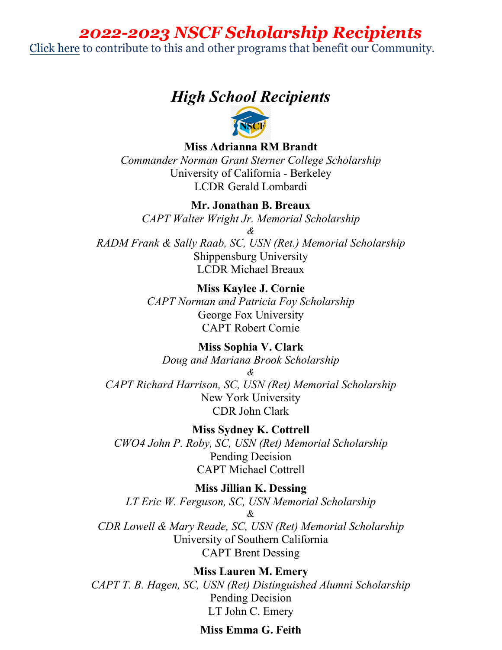# *2022-2023 NSCF Scholarship Recipients*

[Click here](https://www.usnscf.com/Foundation/Ships_Store/MakeDonation) to contribute to this and other programs that benefit our Community.

# *High School Recipients*



**Miss Adrianna RM Brandt**

*Commander Norman Grant Sterner College Scholarship* University of California - Berkeley LCDR Gerald Lombardi

**Mr. Jonathan B. Breaux**

*CAPT Walter Wright Jr. Memorial Scholarship & RADM Frank & Sally Raab, SC, USN (Ret.) Memorial Scholarship* Shippensburg University

LCDR Michael Breaux

**Miss Kaylee J. Cornie** *CAPT Norman and Patricia Foy Scholarship* George Fox University CAPT Robert Cornie

**Miss Sophia V. Clark** *Doug and Mariana Brook Scholarship & CAPT Richard Harrison, SC, USN (Ret) Memorial Scholarship*  New York University CDR John Clark

**Miss Sydney K. Cottrell** *CWO4 John P. Roby, SC, USN (Ret) Memorial Scholarship* Pending Decision CAPT Michael Cottrell

**Miss Jillian K. Dessing** *LT Eric W. Ferguson, SC, USN Memorial Scholarship*   $\mathcal{R}_{I}$ *CDR Lowell & Mary Reade, SC, USN (Ret) Memorial Scholarship* University of Southern California CAPT Brent Dessing

**Miss Lauren M. Emery** *CAPT T. B. Hagen, SC, USN (Ret) Distinguished Alumni Scholarship* Pending Decision LT John C. Emery

# **Miss Emma G. Feith**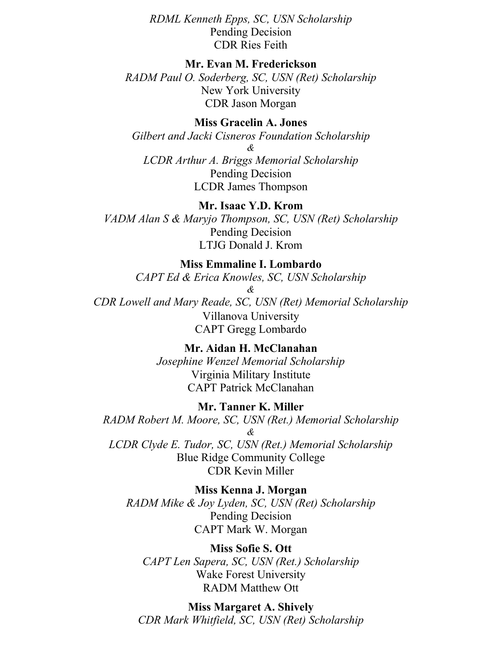*RDML Kenneth Epps, SC, USN Scholarship* Pending Decision CDR Ries Feith

#### **Mr. Evan M. Frederickson**

*RADM Paul O. Soderberg, SC, USN (Ret) Scholarship* New York University CDR Jason Morgan

**Miss Gracelin A. Jones**

*Gilbert and Jacki Cisneros Foundation Scholarship & LCDR Arthur A. Briggs Memorial Scholarship*

Pending Decision LCDR James Thompson

### **Mr. Isaac Y.D. Krom**

*VADM Alan S & Maryjo Thompson, SC, USN (Ret) Scholarship* Pending Decision LTJG Donald J. Krom

**Miss Emmaline I. Lombardo**

*CAPT Ed & Erica Knowles, SC, USN Scholarship*

*&*

*CDR Lowell and Mary Reade, SC, USN (Ret) Memorial Scholarship*  Villanova University CAPT Gregg Lombardo

**Mr. Aidan H. McClanahan**

*Josephine Wenzel Memorial Scholarship* Virginia Military Institute CAPT Patrick McClanahan

## **Mr. Tanner K. Miller**

*RADM Robert M. Moore, SC, USN (Ret.) Memorial Scholarship & LCDR Clyde E. Tudor, SC, USN (Ret.) Memorial Scholarship* Blue Ridge Community College

CDR Kevin Miller

**Miss Kenna J. Morgan** *RADM Mike & Joy Lyden, SC, USN (Ret) Scholarship* Pending Decision CAPT Mark W. Morgan

#### **Miss Sofie S. Ott**

*CAPT Len Sapera, SC, USN (Ret.) Scholarship* Wake Forest University RADM Matthew Ott

### **Miss Margaret A. Shively**

*CDR Mark Whitfield, SC, USN (Ret) Scholarship*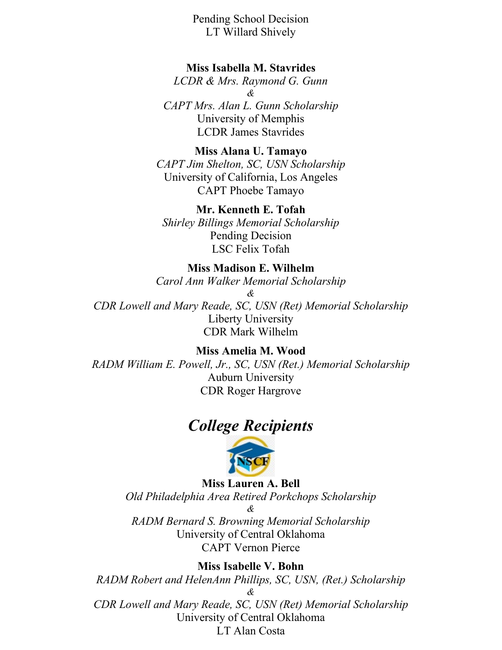Pending School Decision LT Willard Shively

# **Miss Isabella M. Stavrides**

*LCDR & Mrs. Raymond G. Gunn & CAPT Mrs. Alan L. Gunn Scholarship* University of Memphis LCDR James Stavrides

**Miss Alana U. Tamayo** *CAPT Jim Shelton, SC, USN Scholarship* University of California, Los Angeles CAPT Phoebe Tamayo

#### **Mr. Kenneth E. Tofah**

*Shirley Billings Memorial Scholarship* Pending Decision LSC Felix Tofah

# **Miss Madison E. Wilhelm**

*Carol Ann Walker Memorial Scholarship*

*&*

*CDR Lowell and Mary Reade, SC, USN (Ret) Memorial Scholarship*  Liberty University CDR Mark Wilhelm

# **Miss Amelia M. Wood**

*RADM William E. Powell, Jr., SC, USN (Ret.) Memorial Scholarship* Auburn University CDR Roger Hargrove

# *College Recipients*



**Miss Lauren A. Bell** *Old Philadelphia Area Retired Porkchops Scholarship &*

*RADM Bernard S. Browning Memorial Scholarship*  University of Central Oklahoma CAPT Vernon Pierce

# **Miss Isabelle V. Bohn**

*RADM Robert and HelenAnn Phillips, SC, USN, (Ret.) Scholarship & CDR Lowell and Mary Reade, SC, USN (Ret) Memorial Scholarship* University of Central Oklahoma LT Alan Costa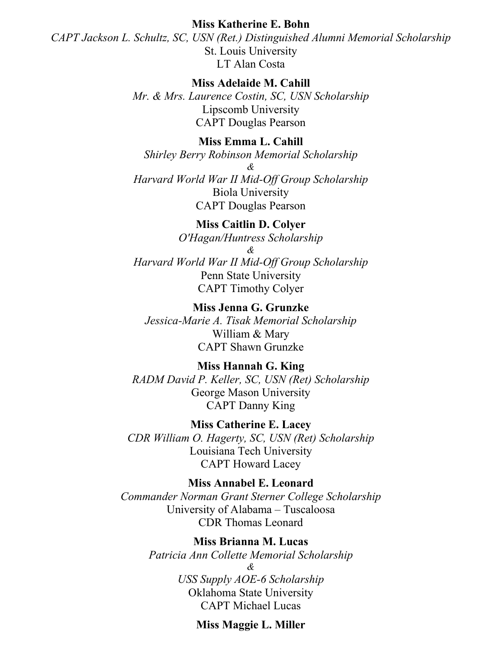#### **Miss Katherine E. Bohn**

*CAPT Jackson L. Schultz, SC, USN (Ret.) Distinguished Alumni Memorial Scholarship* St. Louis University LT Alan Costa

# **Miss Adelaide M. Cahill**

*Mr. & Mrs. Laurence Costin, SC, USN Scholarship* Lipscomb University CAPT Douglas Pearson

# **Miss Emma L. Cahill**

*Shirley Berry Robinson Memorial Scholarship &*

*Harvard World War II Mid-Off Group Scholarship* Biola University CAPT Douglas Pearson

#### **Miss Caitlin D. Colyer**

*O'Hagan/Huntress Scholarship*

*&* 

*Harvard World War II Mid-Off Group Scholarship* Penn State University CAPT Timothy Colyer

# **Miss Jenna G. Grunzke**

*Jessica-Marie A. Tisak Memorial Scholarship* William & Mary CAPT Shawn Grunzke

# **Miss Hannah G. King**

*RADM David P. Keller, SC, USN (Ret) Scholarship* George Mason University CAPT Danny King

**Miss Catherine E. Lacey** *CDR William O. Hagerty, SC, USN (Ret) Scholarship*

> Louisiana Tech University CAPT Howard Lacey

#### **Miss Annabel E. Leonard**

*Commander Norman Grant Sterner College Scholarship* University of Alabama – Tuscaloosa CDR Thomas Leonard

#### **Miss Brianna M. Lucas**

*Patricia Ann Collette Memorial Scholarship & USS Supply AOE-6 Scholarship* Oklahoma State University CAPT Michael Lucas

#### **Miss Maggie L. Miller**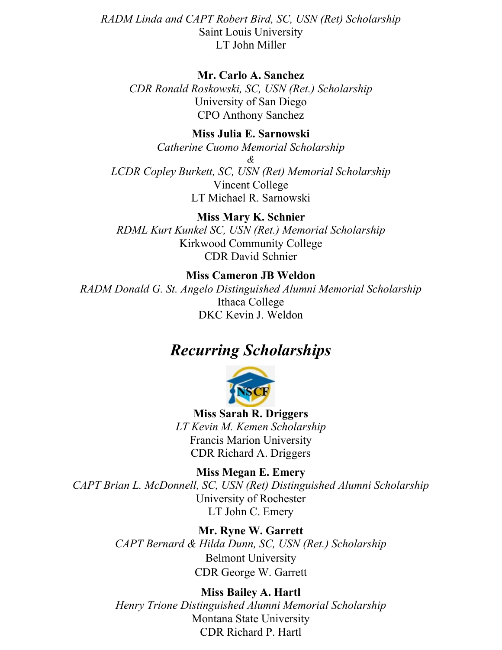*RADM Linda and CAPT Robert Bird, SC, USN (Ret) Scholarship* Saint Louis University LT John Miller

# **Mr. Carlo A. Sanchez**

*CDR Ronald Roskowski, SC, USN (Ret.) Scholarship* University of San Diego CPO Anthony Sanchez

## **Miss Julia E. Sarnowski**

*Catherine Cuomo Memorial Scholarship*

*& LCDR Copley Burkett, SC, USN (Ret) Memorial Scholarship* Vincent College LT Michael R. Sarnowski

**Miss Mary K. Schnier** *RDML Kurt Kunkel SC, USN (Ret.) Memorial Scholarship* Kirkwood Community College CDR David Schnier

# **Miss Cameron JB Weldon**

*RADM Donald G. St. Angelo Distinguished Alumni Memorial Scholarship* Ithaca College DKC Kevin J. Weldon

# *Recurring Scholarships*



**Miss Sarah R. Driggers** *LT Kevin M. Kemen Scholarship* Francis Marion University CDR Richard A. Driggers

**Miss Megan E. Emery** *CAPT Brian L. McDonnell, SC, USN (Ret) Distinguished Alumni Scholarship* University of Rochester LT John C. Emery

> **Mr. Ryne W. Garrett** *CAPT Bernard & Hilda Dunn, SC, USN (Ret.) Scholarship*  Belmont University CDR George W. Garrett

> **Miss Bailey A. Hartl** *Henry Trione Distinguished Alumni Memorial Scholarship* Montana State University CDR Richard P. Hartl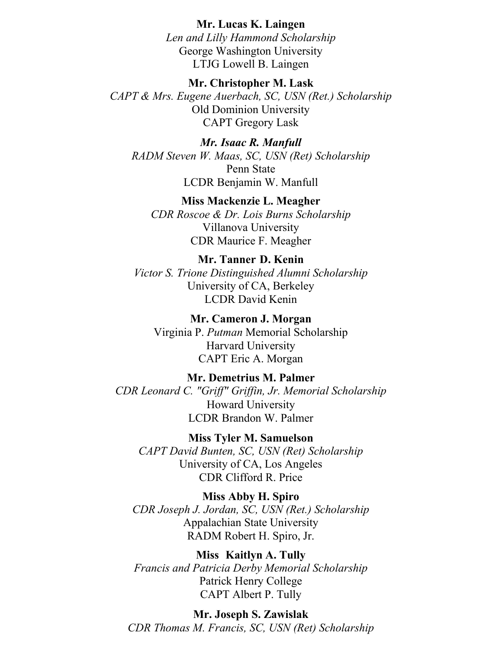#### **Mr. Lucas K. Laingen**

*Len and Lilly Hammond Scholarship* George Washington University LTJG Lowell B. Laingen

**Mr. Christopher M. Lask** *CAPT & Mrs. Eugene Auerbach, SC, USN (Ret.) Scholarship* Old Dominion University CAPT Gregory Lask

*Mr. Isaac R. Manfull RADM Steven W. Maas, SC, USN (Ret) Scholarship* Penn State LCDR Benjamin W. Manfull

**Miss Mackenzie L. Meagher** *CDR Roscoe & Dr. Lois Burns Scholarship* Villanova University CDR Maurice F. Meagher

**Mr. Tanner D. Kenin** *Victor S. Trione Distinguished Alumni Scholarship* University of CA, Berkeley LCDR David Kenin

**Mr. Cameron J. Morgan** Virginia P. *Putman* Memorial Scholarship Harvard University CAPT Eric A. Morgan

**Mr. Demetrius M. Palmer** *CDR Leonard C. "Griff" Griffin, Jr. Memorial Scholarship* Howard University LCDR Brandon W. Palmer

**Miss Tyler M. Samuelson** *CAPT David Bunten, SC, USN (Ret) Scholarship* University of CA, Los Angeles CDR Clifford R. Price

**Miss Abby H. Spiro** *CDR Joseph J. Jordan, SC, USN (Ret.) Scholarship* Appalachian State University RADM Robert H. Spiro, Jr.

**Miss Kaitlyn A. Tully** *Francis and Patricia Derby Memorial Scholarship* Patrick Henry College CAPT Albert P. Tully

**Mr. Joseph S. Zawislak** *CDR Thomas M. Francis, SC, USN (Ret) Scholarship*